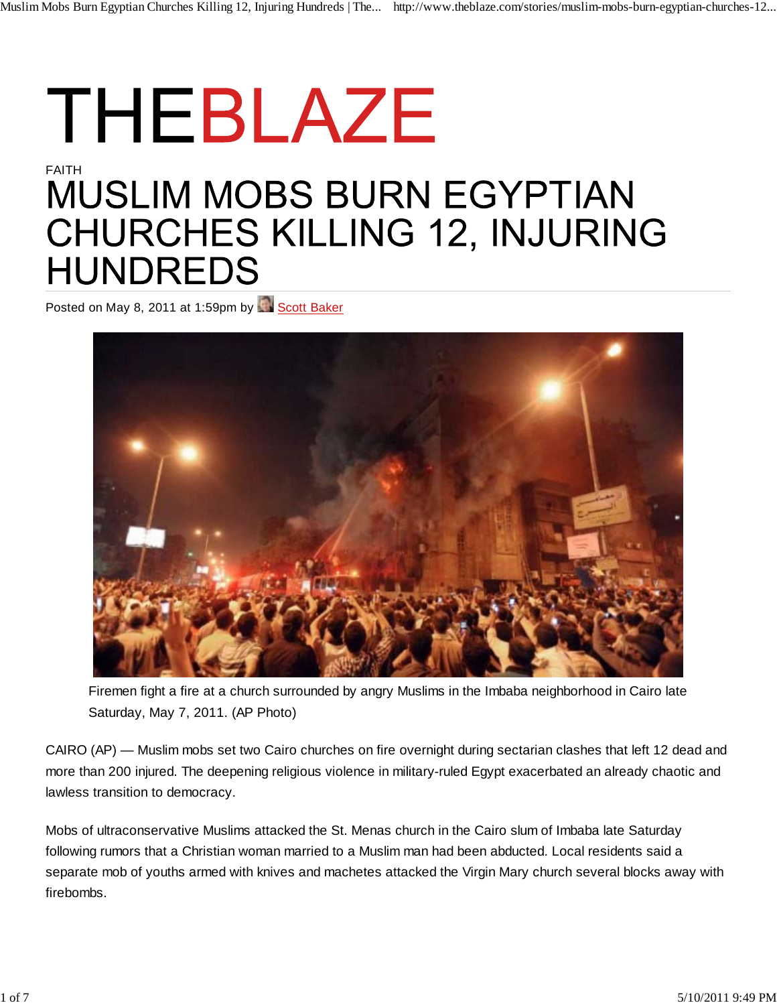## THEBLAZE FAITH<br>MUSLIM MOBS BURN EGYPTIAN CHURCHES KILLING 12, INJURING **HUNDREDS**

Posted on May 8, 2011 at 1:59pm by Scott Baker



Firemen fight a fire at a church surrounded by angry Muslims in the Imbaba neighborhood in Cairo late Saturday, May 7, 2011. (AP Photo)

CAIRO (AP) — Muslim mobs set two Cairo churches on fire overnight during sectarian clashes that left 12 dead and more than 200 injured. The deepening religious violence in military-ruled Egypt exacerbated an already chaotic and lawless transition to democracy.

Mobs of ultraconservative Muslims attacked the St. Menas church in the Cairo slum of Imbaba late Saturday following rumors that a Christian woman married to a Muslim man had been abducted. Local residents said a separate mob of youths armed with knives and machetes attacked the Virgin Mary church several blocks away with firebombs.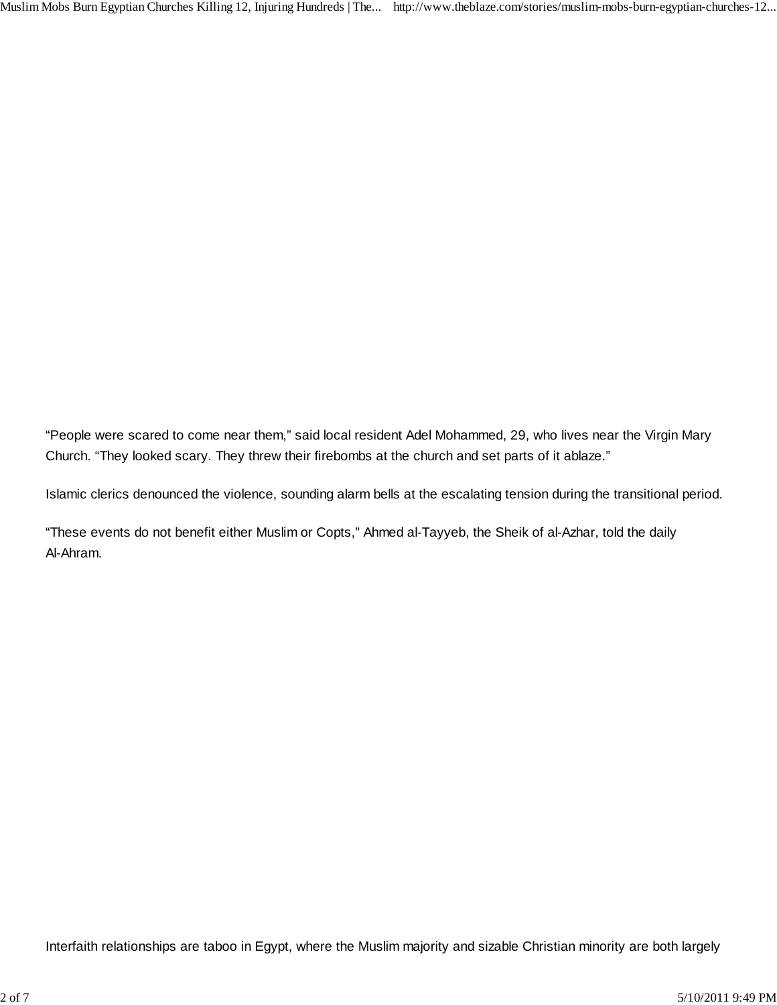"People were scared to come near them," said local resident Adel Mohammed, 29, who lives near the Virgin Mary Church. "They looked scary. They threw their firebombs at the church and set parts of it ablaze."

Islamic clerics denounced the violence, sounding alarm bells at the escalating tension during the transitional period.

"These events do not benefit either Muslim or Copts," Ahmed al-Tayyeb, the Sheik of al-Azhar, told the daily Al-Ahram.

Interfaith relationships are taboo in Egypt, where the Muslim majority and sizable Christian minority are both largely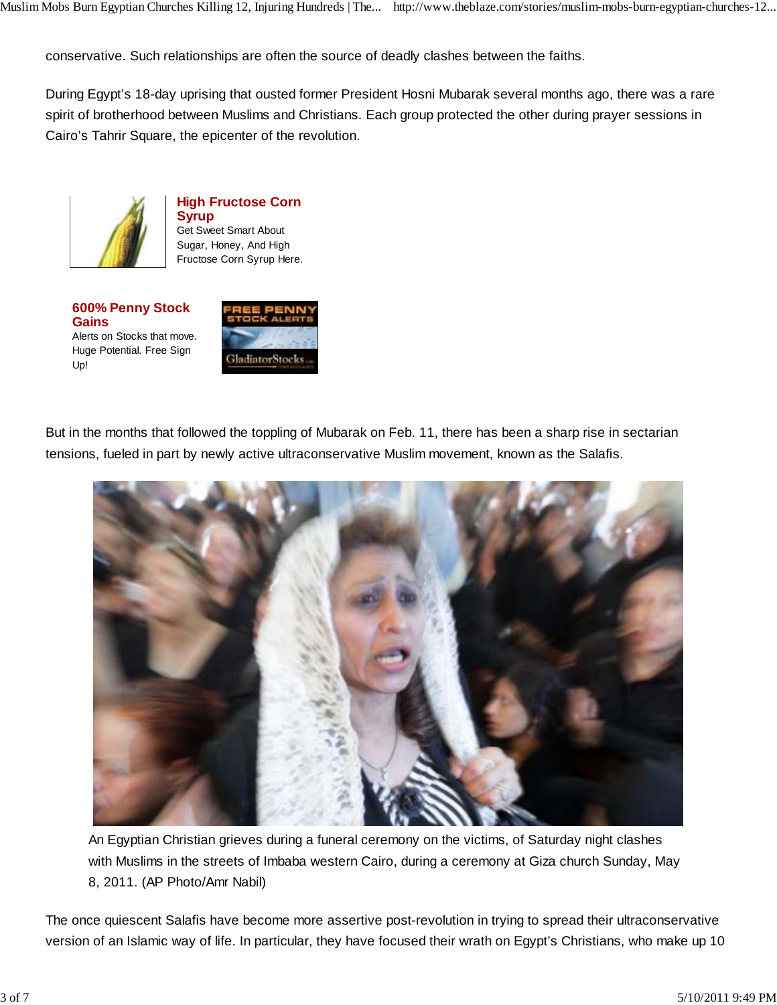conservative. Such relationships are often the source of deadly clashes between the faiths.

During Egypt's 18-day uprising that ousted former President Hosni Mubarak several months ago, there was a rare spirit of brotherhood between Muslims and Christians. Each group protected the other during prayer sessions in Cairo's Tahrir Square, the epicenter of the revolution.



**High Fructose Corn Syrup** Get Sweet Smart About Sugar, Honey, And High Fructose Corn Syrup Here.

**600% Penny Stock Gains** Alerts on Stocks that move. Huge Potential. Free Sign Up!



But in the months that followed the toppling of Mubarak on Feb. 11, there has been a sharp rise in sectarian tensions, fueled in part by newly active ultraconservative Muslim movement, known as the Salafis.



An Egyptian Christian grieves during a funeral ceremony on the victims, of Saturday night clashes with Muslims in the streets of Imbaba western Cairo, during a ceremony at Giza church Sunday, May 8, 2011. (AP Photo/Amr Nabil)

The once quiescent Salafis have become more assertive post-revolution in trying to spread their ultraconservative version of an Islamic way of life. In particular, they have focused their wrath on Egypt's Christians, who make up 10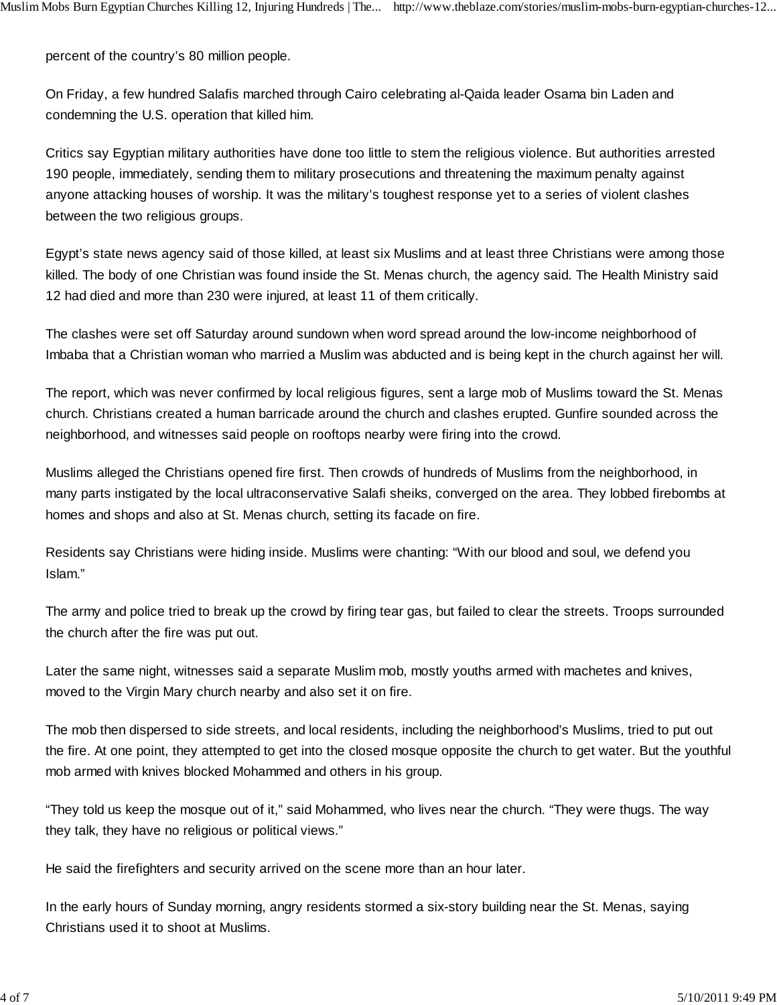percent of the country's 80 million people.

On Friday, a few hundred Salafis marched through Cairo celebrating al-Qaida leader Osama bin Laden and condemning the U.S. operation that killed him.

Critics say Egyptian military authorities have done too little to stem the religious violence. But authorities arrested 190 people, immediately, sending them to military prosecutions and threatening the maximum penalty against anyone attacking houses of worship. It was the military's toughest response yet to a series of violent clashes between the two religious groups.

Egypt's state news agency said of those killed, at least six Muslims and at least three Christians were among those killed. The body of one Christian was found inside the St. Menas church, the agency said. The Health Ministry said 12 had died and more than 230 were injured, at least 11 of them critically.

The clashes were set off Saturday around sundown when word spread around the low-income neighborhood of Imbaba that a Christian woman who married a Muslim was abducted and is being kept in the church against her will.

The report, which was never confirmed by local religious figures, sent a large mob of Muslims toward the St. Menas church. Christians created a human barricade around the church and clashes erupted. Gunfire sounded across the neighborhood, and witnesses said people on rooftops nearby were firing into the crowd.

Muslims alleged the Christians opened fire first. Then crowds of hundreds of Muslims from the neighborhood, in many parts instigated by the local ultraconservative Salafi sheiks, converged on the area. They lobbed firebombs at homes and shops and also at St. Menas church, setting its facade on fire.

Residents say Christians were hiding inside. Muslims were chanting: "With our blood and soul, we defend you Islam."

The army and police tried to break up the crowd by firing tear gas, but failed to clear the streets. Troops surrounded the church after the fire was put out.

Later the same night, witnesses said a separate Muslim mob, mostly youths armed with machetes and knives, moved to the Virgin Mary church nearby and also set it on fire.

The mob then dispersed to side streets, and local residents, including the neighborhood's Muslims, tried to put out the fire. At one point, they attempted to get into the closed mosque opposite the church to get water. But the youthful mob armed with knives blocked Mohammed and others in his group.

"They told us keep the mosque out of it," said Mohammed, who lives near the church. "They were thugs. The way they talk, they have no religious or political views."

He said the firefighters and security arrived on the scene more than an hour later.

In the early hours of Sunday morning, angry residents stormed a six-story building near the St. Menas, saying Christians used it to shoot at Muslims.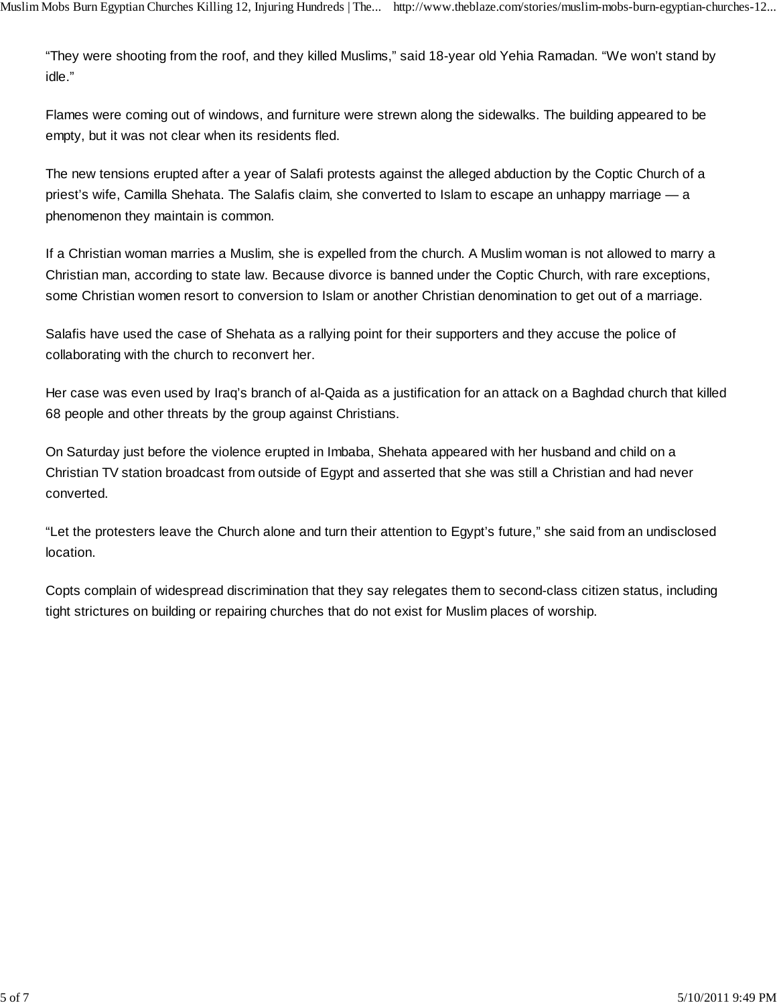"They were shooting from the roof, and they killed Muslims," said 18-year old Yehia Ramadan. "We won't stand by idle."

Flames were coming out of windows, and furniture were strewn along the sidewalks. The building appeared to be empty, but it was not clear when its residents fled.

The new tensions erupted after a year of Salafi protests against the alleged abduction by the Coptic Church of a priest's wife, Camilla Shehata. The Salafis claim, she converted to Islam to escape an unhappy marriage — a phenomenon they maintain is common.

If a Christian woman marries a Muslim, she is expelled from the church. A Muslim woman is not allowed to marry a Christian man, according to state law. Because divorce is banned under the Coptic Church, with rare exceptions, some Christian women resort to conversion to Islam or another Christian denomination to get out of a marriage.

Salafis have used the case of Shehata as a rallying point for their supporters and they accuse the police of collaborating with the church to reconvert her.

Her case was even used by Iraq's branch of al-Qaida as a justification for an attack on a Baghdad church that killed 68 people and other threats by the group against Christians.

On Saturday just before the violence erupted in Imbaba, Shehata appeared with her husband and child on a Christian TV station broadcast from outside of Egypt and asserted that she was still a Christian and had never converted.

"Let the protesters leave the Church alone and turn their attention to Egypt's future," she said from an undisclosed location.

Copts complain of widespread discrimination that they say relegates them to second-class citizen status, including tight strictures on building or repairing churches that do not exist for Muslim places of worship.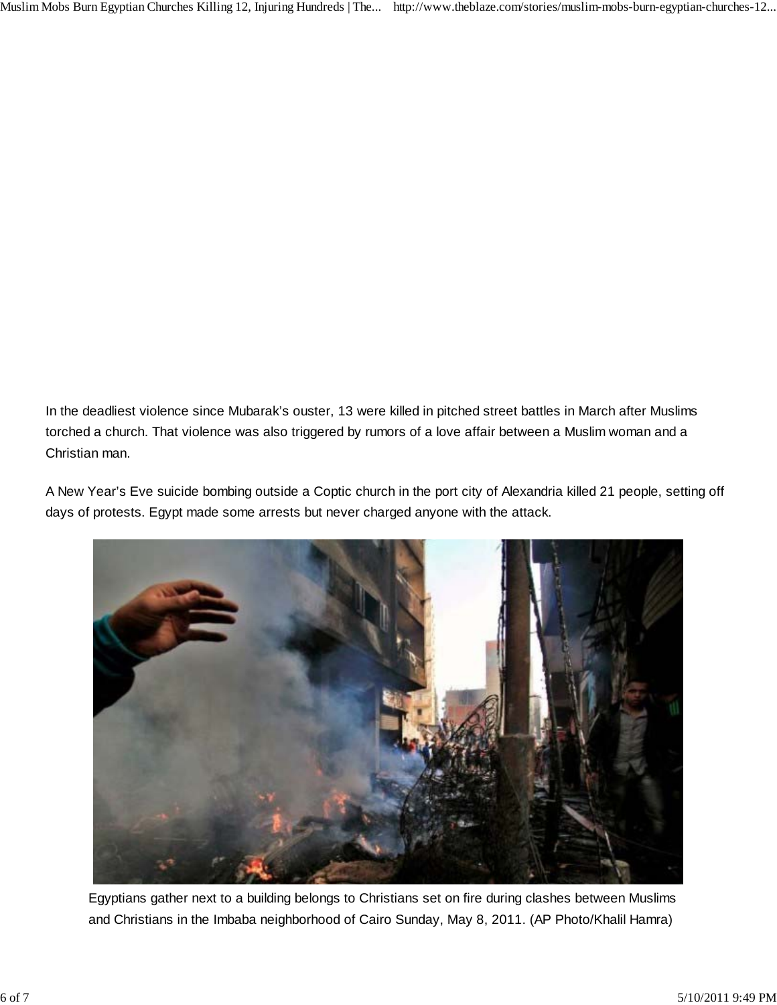In the deadliest violence since Mubarak's ouster, 13 were killed in pitched street battles in March after Muslims torched a church. That violence was also triggered by rumors of a love affair between a Muslim woman and a Christian man.

A New Year's Eve suicide bombing outside a Coptic church in the port city of Alexandria killed 21 people, setting off days of protests. Egypt made some arrests but never charged anyone with the attack.



Egyptians gather next to a building belongs to Christians set on fire during clashes between Muslims and Christians in the Imbaba neighborhood of Cairo Sunday, May 8, 2011. (AP Photo/Khalil Hamra)